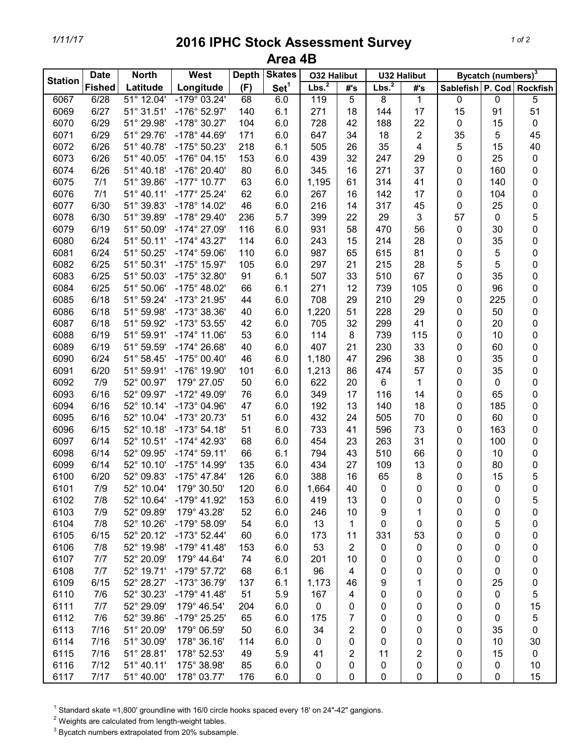## *1/11/17* **2016 IPHC Stock Assessment Survey Area 4B**

| <b>Station</b> | <b>North</b><br><b>Date</b> |            | West<br><b>Depth</b>  | <b>Skates</b> | <b>O32 Halibut</b> |                   | <b>U32 Halibut</b> |                   | Bycatch (numbers) <sup>3</sup> |                           |           |           |
|----------------|-----------------------------|------------|-----------------------|---------------|--------------------|-------------------|--------------------|-------------------|--------------------------------|---------------------------|-----------|-----------|
|                | <b>Fished</b>               | Latitude   | Longitude             | (F)           | Set <sup>1</sup>   | Lbs. <sup>2</sup> | #'s                | Lbs. <sup>2</sup> | #'s                            | Sablefish P. Cod Rockfish |           |           |
| 6067           | 6/28                        | 51° 12.04' | $-179°03.24'$         | 68            | 6.0                | 119               | $\overline{5}$     | 8                 | $\mathbf{1}$                   | 0                         | $\pmb{0}$ | 5         |
| 6069           | 6/27                        | 51° 31.51' | $-176^{\circ}$ 52.97' | 140           | 6.1                | 271               | 18                 | 144               | 17                             | 15                        | 91        | 51        |
| 6070           | 6/29                        | 51° 29.98' | -178° 30.27'          | 104           | 6.0                | 728               | 42                 | 188               | 22                             | 0                         | 15        | $\pmb{0}$ |
| 6071           | 6/29                        | 51° 29.76' | $-178^{\circ}$ 44.69' | 171           | 6.0                | 647               | 34                 | 18                | 2                              | 35                        | 5         | 45        |
| 6072           | 6/26                        | 51° 40.78' | $-175^{\circ} 50.23'$ | 218           | 6.1                | 505               | 26                 | 35                | 4                              | 5                         | 15        | 40        |
| 6073           | 6/26                        | 51° 40.05' | $-176°04.15'$         | 153           | 6.0                | 439               | 32                 | 247               | 29                             | 0                         | 25        | $\pmb{0}$ |
| 6074           | 6/26                        | 51° 40.18' | -176° 20.40'          | 80            | 6.0                | 345               | 16                 | 271               | 37                             | 0                         | 160       | 0         |
| 6075           | 7/1                         | 51° 39.86' | $-177^{\circ}$ 10.77' | 63            | 6.0                | 1,195             | 61                 | 314               | 41                             | 0                         | 140       | 0         |
| 6076           | 7/1                         | 51° 40.11' | $-177^{\circ} 25.24'$ | 62            | 6.0                | 267               | 16                 | 142               | 17                             | 0                         | 104       | 0         |
| 6077           | 6/30                        | 51° 39.83' | $-178^\circ$ 14.02'   | 46            | 6.0                | 216               | 14                 | 317               | 45                             | 0                         | 25        | 0         |
| 6078           | 6/30                        | 51° 39.89' | -178° 29.40'          | 236           | 5.7                | 399               | 22                 | 29                | 3                              | 57                        | 0         | 5         |
| 6079           | 6/19                        | 51° 50.09' | $-174^{\circ}$ 27.09' | 116           | 6.0                | 931               | 58                 | 470               | 56                             | $\pmb{0}$                 | 30        | 0         |
| 6080           | 6/24                        | 51° 50.11' | $-174^{\circ}$ 43.27' | 114           | 6.0                | 243               | 15                 | 214               | 28                             | 0                         | 35        | 0         |
| 6081           | 6/24                        | 51° 50.25' | $-174^{\circ} 59.06'$ | 110           | 6.0                | 987               | 65                 | 615               | 81                             | 0                         | 5         | 0         |
| 6082           | 6/25                        | 51° 50.31' | $-175^{\circ}$ 15.97' | 105           | 6.0                | 297               | 21                 | 215               | 28                             | 5                         | 5         | 0         |
| 6083           | 6/25                        | 51° 50.03' | $-175^{\circ}$ 32.80' | 91            | 6.1                | 507               | 33                 | 510               | 67                             | 0                         | 35        | 0         |
| 6084           | 6/25                        | 51° 50.06' | $-175^{\circ}$ 48.02' | 66            | 6.1                | 271               | 12                 | 739               | 105                            | 0                         | 96        | 0         |
| 6085           | 6/18                        | 51° 59.24' | -173° 21.95'          | 44            | 6.0                | 708               | 29                 | 210               | 29                             | 0                         | 225       | 0         |
| 6086           | 6/18                        | 51° 59.98' | -173° 38.36'          | 40            | 6.0                | 1,220             | 51                 | 228               | 29                             | 0                         | 50        | 0         |
| 6087           | 6/18                        | 51° 59.92' | $-173°53.55'$         | 42            | 6.0                | 705               | 32                 | 299               | 41                             | 0                         | 20        | 0         |
| 6088           | 6/19                        | 51° 59.91' | $-174^{\circ}$ 11.06' | 53            | 6.0                | 114               | 8                  | 739               | 115                            | 0                         | 10        | 0         |
| 6089           | 6/19                        | 51° 59.59' | $-174^{\circ} 26.68'$ | 40            | 6.0                | 407               | 21                 | 230               | 33                             | 0                         | 60        | 0         |
| 6090           | 6/24                        | 51° 58.45' | $-175^{\circ}$ 00.40' | 46            | 6.0                | 1,180             | 47                 | 296               | 38                             | 0                         | 35        | 0         |
| 6091           | 6/20                        | 51° 59.91' | -176° 19.90'          | 101           | 6.0                | 1,213             | 86                 | 474               | 57                             | 0                         | 35        | 0         |
| 6092           | 7/9                         | 52° 00.97' | 179° 27.05'           | 50            | 6.0                | 622               | 20                 | 6                 | 1                              | 0                         | 0         | 0         |
| 6093           | 6/16                        | 52° 09.97' | -172° 49.09'          | 76            | 6.0                | 349               | 17                 | 116               | 14                             | 0                         | 65        | 0         |
| 6094           | 6/16                        | 52° 10.14' | -173° 04.96'          | 47            | 6.0                | 192               | 13                 | 140               | 18                             | 0                         | 185       | 0         |
| 6095           | 6/16                        | 52° 10.04' | -173° 20.73'          | 51            | 6.0                | 432               | 24                 | 505               | 70                             | 0                         | 60        | 0         |
| 6096           | 6/15                        | 52° 10.18' | $-173^{\circ}$ 54.18' | 51            | 6.0                | 733               | 41                 | 596               | 73                             | 0                         | 163       | 0         |
| 6097           | 6/14                        | 52° 10.51' | $-174^{\circ}$ 42.93' | 68            | 6.0                | 454               | 23                 | 263               | 31                             | 0                         | 100       | 0         |
| 6098           | 6/14                        | 52° 09.95' | $-174^{\circ} 59.11'$ | 66            | 6.1                | 794               | 43                 | 510               | 66                             | 0                         | 10        | 0         |
| 6099           | 6/14                        | 52° 10.10' | $-175^{\circ}$ 14.99' | 135           | 6.0                | 434               | 27                 | 109               | 13                             | 0                         | 80        | 0         |
| 6100           | 6/20                        | 52° 09.83' | $-175^{\circ}$ 47.84' | 126           | 6.0                | 388               | 16                 | 65                | 8                              | 0                         | 15        | 5         |
| 6101           | 7/9                         | 52° 10.04' | 179° 30.50'           | 120           | 6.0                | 1,664             | 40                 | 0                 | 0                              | 0                         | 0         | 0         |
| 6102           | 7/8                         | 52° 10.64' | $-179^{\circ}$ 41.92' | 153           | 6.0                | 419               | 13                 | 0                 | 0                              | 0                         | 0         | 5         |
| 6103           | 7/9                         | 52° 09.89' | 179° 43.28'           | 52            | 6.0                | 246               | 10                 | 9                 | 1                              | 0                         | 0         | 0         |
| 6104           | 7/8                         | 52° 10.26' | $-179^{\circ}$ 58.09' | 54            | 6.0                | 13                | 1                  | 0                 | 0                              | 0                         | 5         | 0         |
| 6105           | 6/15                        | 52° 20.12' | $-173^{\circ}$ 52.44' | 60            | 6.0                | 173               | 11                 | 331               | 53                             | 0                         | 0         | 0         |
| 6106           | 7/8                         | 52° 19.98' | $-179^{\circ}$ 41.48' | 153           | 6.0                | 53                | $\overline{2}$     | 0                 | 0                              | 0                         | 0         | 0         |
| 6107           | 7/7                         | 52° 20.09' | 179° 44.64'           | 74            | 6.0                | 201               | 10                 | 0                 | 0                              | 0                         | 0         | 0         |
| 6108           | 7/7                         | 52° 19.71' | $-179°57.72'$         | 68            | 6.1                | 96                | 4                  | 0                 | 0                              | 0                         | 0         | 0         |
| 6109           | 6/15                        | 52° 28.27' | -173° 36.79'          | 137           | 6.1                | 1,173             | 46                 | 9                 | 1                              | 0                         | 25        | 0         |
| 6110           | 7/6                         | 52° 30.23' | $-179^{\circ}$ 41.48' | 51            | 5.9                | 167               | 4                  | 0                 | 0                              | 0                         | 0         | 5         |
| 6111           | 7/7                         | 52° 29.09' | 179° 46.54'           | 204           | 6.0                | 0                 | 0                  | 0                 |                                |                           | 0         | 15        |
| 6112           | 7/6                         | 52° 39.86' | -179° 25.25'          | 65            | 6.0                | 175               | 7                  |                   | 0                              | 0                         |           |           |
| 6113           | 7/16                        | 51° 20.09' | 179° 06.59'           | 50            | 6.0                | 34                | 2                  | 0                 | 0                              | 0                         | 0<br>35   | 5<br>0    |
| 6114           | 7/16                        | 51° 30.09' | 178° 36.16'           | 114           | 6.0                | 0                 | 0                  | 0<br>0            | 0                              | 0<br>0                    | 10        | 30        |
| 6115           | 7/16                        | 51° 28.81' | 178° 52.53'           | 49            | 5.9                | 41                | 2                  | 11                | 0<br>2                         | 0                         | 15        | 0         |
| 6116           | 7/12                        | 51° 40.11' | 175° 38.98'           | 85            | 6.0                |                   |                    | 0                 | 0                              |                           | 0         | 10        |
| 6117           | 7/17                        | 51° 40.00' | 178° 03.77'           | 176           | 6.0                | 0<br>0            | 0<br>0             | $\pmb{0}$         | $\pmb{0}$                      | 0<br>0                    | 0         | 15        |
|                |                             |            |                       |               |                    |                   |                    |                   |                                |                           |           |           |

 $1$  Standard skate =1,800' groundline with 16/0 circle hooks spaced every 18' on 24"-42" gangions.

 $2$  Weights are calculated from length-weight tables.

 $3$  Bycatch numbers extrapolated from 20% subsample.